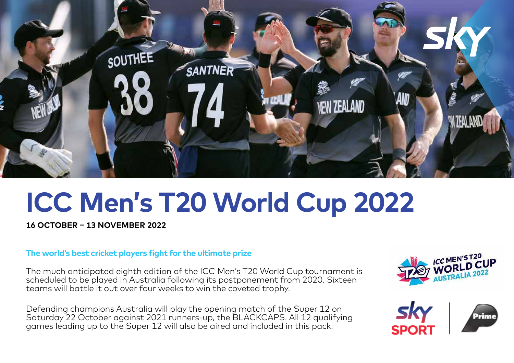

# **ICC Men's T20 World Cup 2022**

**16 OCTOBER – 13 NOVEMBER 2022**

### **The world's best cricket players fight for the ultimate prize**

The much anticipated eighth edition of the ICC Men's T20 World Cup tournament is scheduled to be played in Australia following its postponement from 2020. Sixteen teams will battle it out over four weeks to win the coveted trophy.

Defending champions Australia will play the opening match of the Super 12 on Saturday 22 October against 2021 runners-up, the BLACKCAPS. All 12 qualifying games leading up to the Super 12 will also be aired and included in this pack.





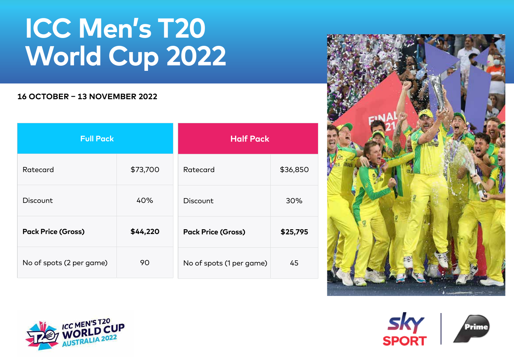## **ICC Men's T20 World Cup 2022**

## **16 OCTOBER – 13 NOVEMBER 2022**

| <b>Full Pack</b>          |          | <b>Half Pack</b>          |          |
|---------------------------|----------|---------------------------|----------|
| Ratecard                  | \$73,700 | Ratecard                  | \$36,850 |
| Discount                  | 40%      | Discount                  | 30%      |
| <b>Pack Price (Gross)</b> | \$44,220 | <b>Pack Price (Gross)</b> | \$25,795 |
| No of spots (2 per game)  | 90       | No of spots (1 per game)  | 45       |